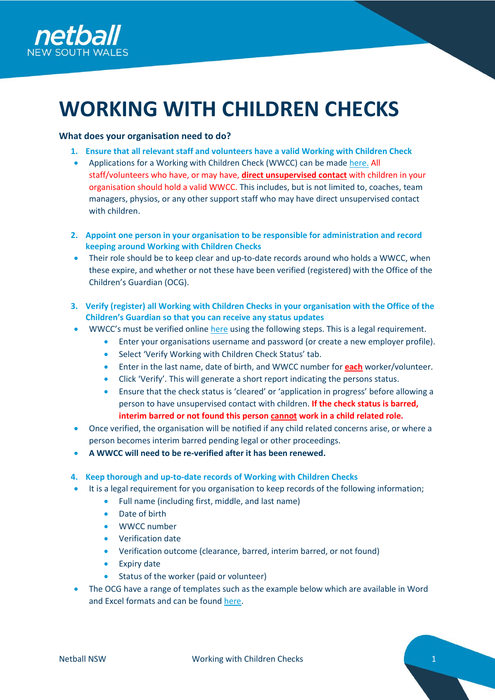

# **WORKING WITH CHILDREN CHECKS**

# **What does your organisation need to do?**

- **1. Ensure that all relevant staff and volunteers have a valid Working with Children Check**
- Applications for a Working with Children Check (WWCC) can be made [here.](https://ocg.nsw.gov.au/working-children-check/applicant) All staff/volunteers who have, or may have, **direct unsupervised contact** with children in your organisation should hold a valid WWCC. This includes, but is not limited to, coaches, team managers, physios, or any other support staff who may have direct unsupervised contact with children.
- **2. Appoint one person in your organisation to be responsible for administration and record keeping around Working with Children Checks**
- Their role should be to keep clear and up-to-date records around who holds a WWCC, when these expire, and whether or not these have been verified (registered) with the Office of the Children's Guardian (OCG).
- **3. Verify (register) all Working with Children Checks in your organisation with the Office of the Children's Guardian so that you can receive any status updates**
- WWCC's must be verified online [here](https://wwccemployer.ocg.nsw.gov.au/Employers/Login?ReturnUrl=%2fEmployers%2fSearch) using the following steps. This is a legal requirement.
	- Enter your organisations username and password (or create a new employer profile).
		- Select 'Verify Working with Children Check Status' tab.
		- Enter in the last name, date of birth, and WWCC number for **each** worker/volunteer.
		- Click 'Verify'. This will generate a short report indicating the persons status.
		- Ensure that the check status is 'cleared' or 'application in progress' before allowing a person to have unsupervised contact with children. **If the check status is barred, interim barred or not found this person cannot work in a child related role.**
- Once verified, the organisation will be notified if any child related concerns arise, or where a person becomes interim barred pending legal or other proceedings.
- **A WWCC will need to be re-verified after it has been renewed.**

## **4. Keep thorough and up-to-date records of Working with Children Checks**

- It is a legal requirement for you organisation to keep records of the following information;
	- Full name (including first, middle, and last name)
	- Date of birth
	- WWCC number
	- Verification date
	- Verification outcome (clearance, barred, interim barred, or not found)
	- Expiry date
	- Status of the worker (paid or volunteer)
- The OCG have a range of templates such as the example below which are available in Word and Excel formats and can be found [here.](https://ocg.nsw.gov.au/resources?combine=&field_published_date_value=&field_topic_target_id%5B36%5D=36)